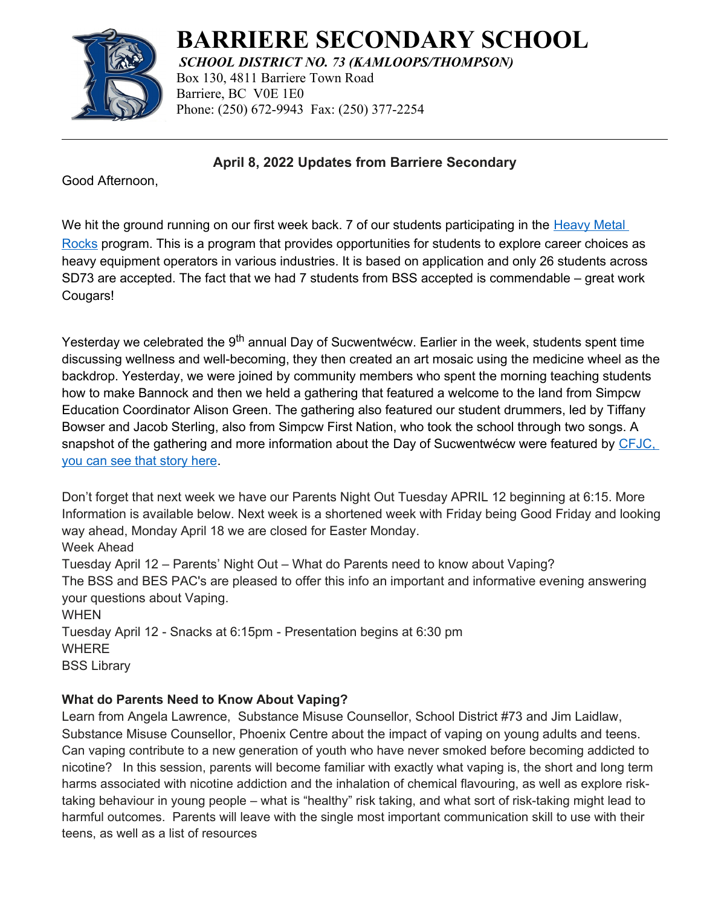

## **BARRIERE SECONDARY SCHOOL**

*SCHOOL DISTRICT NO. 73 (KAMLOOPS/THOMPSON)* Box 130, 4811 Barriere Town Road Barriere, BC V0E 1E0 Phone: (250) 672-9943 Fax: (250) 377-2254

**April 8, 2022 Updates from Barriere Secondary**

Good Afternoon,

We hit the ground running on our first week back. 7 of our students participating in the Heavy Metal [Rocks](https://tnt.sd73.bc.ca/en/heavy-metal-rocks.aspx) program. This is a program that provides opportunities for students to explore career choices as heavy equipment operators in various industries. It is based on application and only 26 students across SD73 are accepted. The fact that we had 7 students from BSS accepted is commendable – great work Cougars!

Yesterday we celebrated the 9<sup>th</sup> annual Day of Sucwentwécw. Earlier in the week, students spent time discussing wellness and well-becoming, they then created an art mosaic using the medicine wheel as the backdrop. Yesterday, we were joined by community members who spent the morning teaching students how to make Bannock and then we held a gathering that featured a welcome to the land from Simpcw Education Coordinator Alison Green. The gathering also featured our student drummers, led by Tiffany Bowser and Jacob Sterling, also from Simpcw First Nation, who took the school through two songs. A snapshot of the gathering and more information about the Day of Sucwentwécw were featured by CFJC, [you can see that story here.](https://cfjctoday.com/2022/04/07/barriere-students-recognize-secwepemc-lands-and-people-on-the-day-of-sucwentwecw/)

Don't forget that next week we have our Parents Night Out Tuesday APRIL 12 beginning at 6:15. More Information is available below. Next week is a shortened week with Friday being Good Friday and looking way ahead, Monday April 18 we are closed for Easter Monday. Week Ahead Tuesday April 12 – Parents' Night Out – What do Parents need to know about Vaping? The BSS and BES PAC's are pleased to offer this info an important and informative evening answering your questions about Vaping. **WHEN** Tuesday April 12 - Snacks at 6:15pm - Presentation begins at 6:30 pm WHERE BSS Library

## **What do Parents Need to Know About Vaping?**

Learn from Angela Lawrence, Substance Misuse Counsellor, School District #73 and Jim Laidlaw, Substance Misuse Counsellor, Phoenix Centre about the impact of vaping on young adults and teens. Can vaping contribute to a new generation of youth who have never smoked before becoming addicted to nicotine? In this session, parents will become familiar with exactly what vaping is, the short and long term harms associated with nicotine addiction and the inhalation of chemical flavouring, as well as explore risktaking behaviour in young people – what is "healthy" risk taking, and what sort of risk-taking might lead to harmful outcomes. Parents will leave with the single most important communication skill to use with their teens, as well as a list of resources